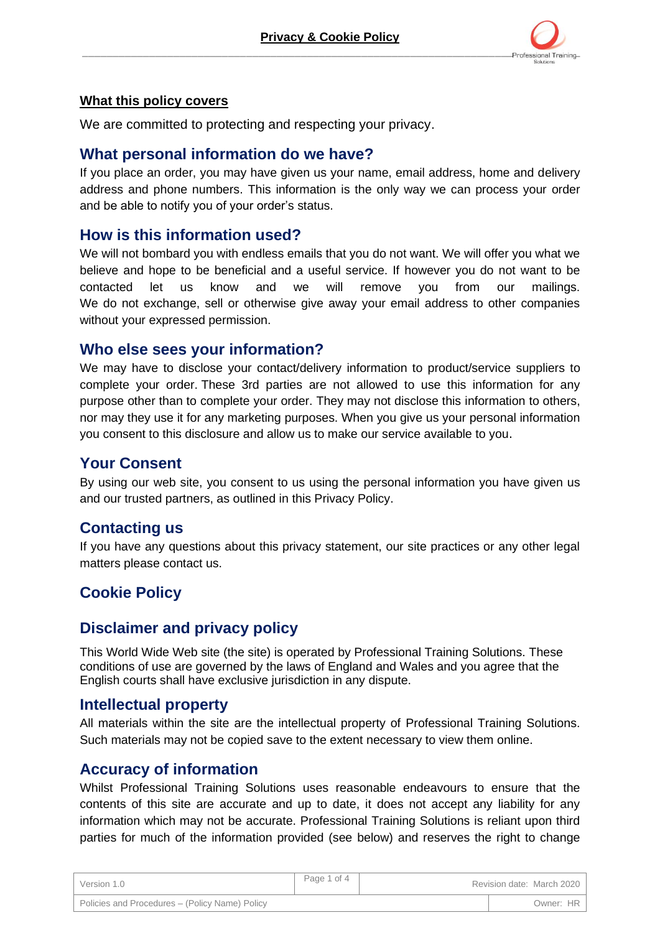

#### **What this policy covers**

We are committed to protecting and respecting your privacy.

#### **What personal information do we have?**

If you place an order, you may have given us your name, email address, home and delivery address and phone numbers. This information is the only way we can process your order and be able to notify you of your order's status.

### **How is this information used?**

We will not bombard you with endless emails that you do not want. We will offer you what we believe and hope to be beneficial and a useful service. If however you do not want to be contacted let us know and we will remove you from our mailings. We do not exchange, sell or otherwise give away your email address to other companies without your expressed permission.

### **Who else sees your information?**

We may have to disclose your contact/delivery information to product/service suppliers to complete your order. These 3rd parties are not allowed to use this information for any purpose other than to complete your order. They may not disclose this information to others, nor may they use it for any marketing purposes. When you give us your personal information you consent to this disclosure and allow us to make our service available to you.

### **Your Consent**

By using our web site, you consent to us using the personal information you have given us and our trusted partners, as outlined in this Privacy Policy.

### **Contacting us**

If you have any questions about this privacy statement, our site practices or any other legal matters please contact us.

# **Cookie Policy**

# **Disclaimer and privacy policy**

This World Wide Web site (the site) is operated by Professional Training Solutions. These conditions of use are governed by the laws of England and Wales and you agree that the English courts shall have exclusive jurisdiction in any dispute.

### **Intellectual property**

All materials within the site are the intellectual property of Professional Training Solutions. Such materials may not be copied save to the extent necessary to view them online.

### **Accuracy of information**

Whilst Professional Training Solutions uses reasonable endeavours to ensure that the contents of this site are accurate and up to date, it does not accept any liability for any information which may not be accurate. Professional Training Solutions is reliant upon third parties for much of the information provided (see below) and reserves the right to change

| Version 1.0                                    | Page 1 of 4 | Revision date: March 2020 |
|------------------------------------------------|-------------|---------------------------|
| Policies and Procedures - (Policy Name) Policy |             | Owner: HR                 |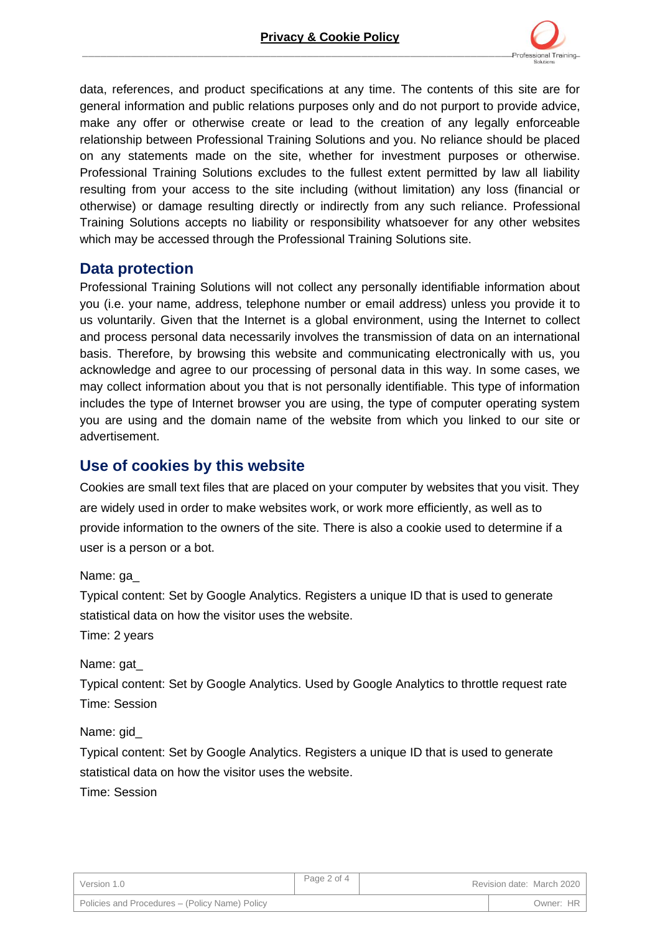

data, references, and product specifications at any time. The contents of this site are for general information and public relations purposes only and do not purport to provide advice, make any offer or otherwise create or lead to the creation of any legally enforceable relationship between Professional Training Solutions and you. No reliance should be placed on any statements made on the site, whether for investment purposes or otherwise. Professional Training Solutions excludes to the fullest extent permitted by law all liability resulting from your access to the site including (without limitation) any loss (financial or otherwise) or damage resulting directly or indirectly from any such reliance. Professional Training Solutions accepts no liability or responsibility whatsoever for any other websites which may be accessed through the Professional Training Solutions site.

### **Data protection**

Professional Training Solutions will not collect any personally identifiable information about you (i.e. your name, address, telephone number or email address) unless you provide it to us voluntarily. Given that the Internet is a global environment, using the Internet to collect and process personal data necessarily involves the transmission of data on an international basis. Therefore, by browsing this website and communicating electronically with us, you acknowledge and agree to our processing of personal data in this way. In some cases, we may collect information about you that is not personally identifiable. This type of information includes the type of Internet browser you are using, the type of computer operating system you are using and the domain name of the website from which you linked to our site or advertisement.

## **Use of cookies by this website**

Cookies are small text files that are placed on your computer by websites that you visit. They are widely used in order to make websites work, or work more efficiently, as well as to provide information to the owners of the site. There is also a cookie used to determine if a user is a person or a bot.

Name: ga\_

Typical content: Set by Google Analytics. Registers a unique ID that is used to generate statistical data on how the visitor uses the website.

Time: 2 years

Name: gat

Typical content: Set by Google Analytics. Used by Google Analytics to throttle request rate Time: Session

Name: gid\_

Typical content: Set by Google Analytics. Registers a unique ID that is used to generate statistical data on how the visitor uses the website.

Time: Session

| Version 1.0                                    | Page 2 of 4 | Revision date: March 2020 |
|------------------------------------------------|-------------|---------------------------|
| Policies and Procedures – (Policy Name) Policy |             | Owner: HR                 |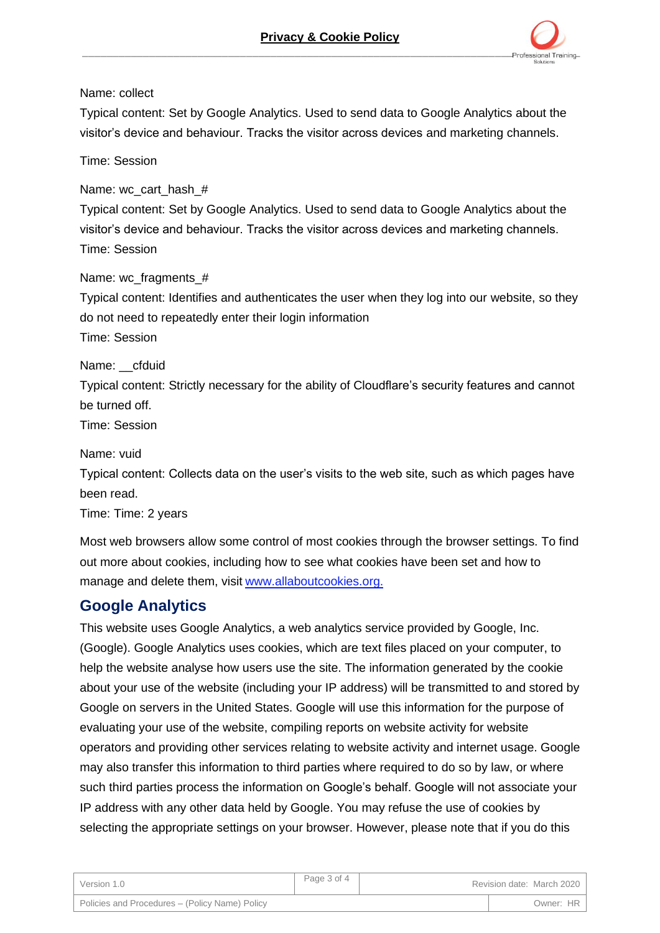

Name: collect

Typical content: Set by Google Analytics. Used to send data to Google Analytics about the visitor's device and behaviour. Tracks the visitor across devices and marketing channels.

Time: Session

Name: wc\_cart\_hash\_#

Typical content: Set by Google Analytics. Used to send data to Google Analytics about the visitor's device and behaviour. Tracks the visitor across devices and marketing channels. Time: Session

Name: wc\_fragments\_#

Typical content: Identifies and authenticates the user when they log into our website, so they do not need to repeatedly enter their login information

Time: Session

Name: cfduid

Typical content: Strictly necessary for the ability of Cloudflare's security features and cannot be turned off.

Time: Session

Name: vuid

Typical content: Collects data on the user's visits to the web site, such as which pages have been read.

Time: Time: 2 years

Most web browsers allow some control of most cookies through the browser settings. To find out more about cookies, including how to see what cookies have been set and how to manage and delete them, visit [www.allaboutcookies.org.](http://www.allaboutcookies.org/)

# **Google Analytics**

This website uses Google Analytics, a web analytics service provided by Google, Inc. (Google). Google Analytics uses cookies, which are text files placed on your computer, to help the website analyse how users use the site. The information generated by the cookie about your use of the website (including your IP address) will be transmitted to and stored by Google on servers in the United States. Google will use this information for the purpose of evaluating your use of the website, compiling reports on website activity for website operators and providing other services relating to website activity and internet usage. Google may also transfer this information to third parties where required to do so by law, or where such third parties process the information on Google's behalf. Google will not associate your IP address with any other data held by Google. You may refuse the use of cookies by selecting the appropriate settings on your browser. However, please note that if you do this